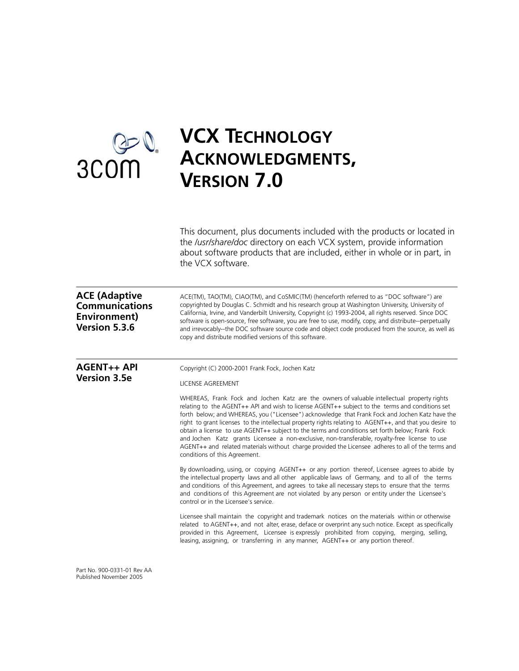# **VCX TECHNOLOGY**  $rac{Q}{Q}Q$ **ACKNOWLEDGMENTS, VERSION 7.0**

This document, plus documents included with the products or located in the */usr/share/doc* directory on each VCX system, provide information about software products that are included, either in whole or in part, in the VCX software.

| <b>ACE (Adaptive</b><br><b>Communications</b><br>Environment)<br><b>Version 5.3.6</b> | ACE(TM), TAO(TM), CIAO(TM), and CoSMIC(TM) (henceforth referred to as "DOC software") are<br>copyrighted by Douglas C. Schmidt and his research group at Washington University, University of<br>California, Irvine, and Vanderbilt University, Copyright (c) 1993-2004, all rights reserved. Since DOC<br>software is open-source, free software, you are free to use, modify, copy, and distribute--perpetually<br>and irrevocably--the DOC software source code and object code produced from the source, as well as<br>copy and distribute modified versions of this software.                                                                                                                                                                       |
|---------------------------------------------------------------------------------------|----------------------------------------------------------------------------------------------------------------------------------------------------------------------------------------------------------------------------------------------------------------------------------------------------------------------------------------------------------------------------------------------------------------------------------------------------------------------------------------------------------------------------------------------------------------------------------------------------------------------------------------------------------------------------------------------------------------------------------------------------------|
| <b>AGENT++ API</b><br><b>Version 3.5e</b>                                             | Copyright (C) 2000-2001 Frank Fock, Jochen Katz                                                                                                                                                                                                                                                                                                                                                                                                                                                                                                                                                                                                                                                                                                          |
|                                                                                       | LICENSE AGREEMENT                                                                                                                                                                                                                                                                                                                                                                                                                                                                                                                                                                                                                                                                                                                                        |
|                                                                                       | WHEREAS, Frank Fock and Jochen Katz are the owners of valuable intellectual property rights<br>relating to the AGENT++ API and wish to license AGENT++ subject to the terms and conditions set<br>forth below; and WHEREAS, you ("Licensee") acknowledge that Frank Fock and Jochen Katz have the<br>right to grant licenses to the intellectual property rights relating to AGENT++, and that you desire to<br>obtain a license to use AGENT++ subject to the terms and conditions set forth below; Frank Fock<br>and Jochen Katz grants Licensee a non-exclusive, non-transferable, royalty-free license to use<br>AGENT++ and related materials without charge provided the Licensee adheres to all of the terms and<br>conditions of this Agreement. |
|                                                                                       | By downloading, using, or copying AGENT++ or any portion thereof, Licensee agrees to abide by<br>the intellectual property laws and all other applicable laws of Germany, and to all of the terms<br>and conditions of this Agreement, and agrees to take all necessary steps to ensure that the terms<br>and conditions of this Agreement are not violated by any person or entity under the Licensee's<br>control or in the Licensee's service.                                                                                                                                                                                                                                                                                                        |
|                                                                                       | Licensee shall maintain the copyright and trademark notices on the materials within or otherwise<br>related to AGENT++, and not alter, erase, deface or overprint any such notice. Except as specifically<br>provided in this Agreement, Licensee is expressly prohibited from copying, merging, selling,<br>leasing, assigning, or transferring in any manner, AGENT++ or any portion thereof.                                                                                                                                                                                                                                                                                                                                                          |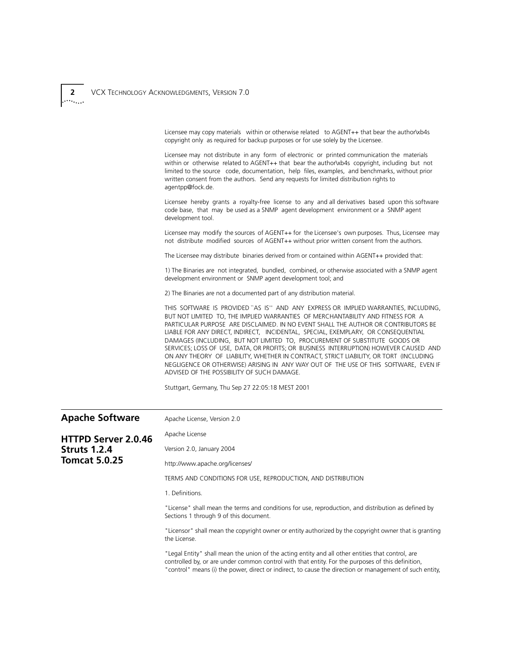$\left| \ldots \right\rangle$ 

|                                             | Licensee may copy materials within or otherwise related to AGENT++ that bear the author\xb4s<br>copyright only as required for backup purposes or for use solely by the Licensee.                                                                                                                                                                                                                                                                                                                                                                                                                                                                                                                                                                       |
|---------------------------------------------|---------------------------------------------------------------------------------------------------------------------------------------------------------------------------------------------------------------------------------------------------------------------------------------------------------------------------------------------------------------------------------------------------------------------------------------------------------------------------------------------------------------------------------------------------------------------------------------------------------------------------------------------------------------------------------------------------------------------------------------------------------|
|                                             | Licensee may not distribute in any form of electronic or printed communication the materials<br>within or otherwise related to AGENT++ that bear the author vb4s copyright, including but not<br>limited to the source code, documentation, help files, examples, and benchmarks, without prior<br>written consent from the authors. Send any requests for limited distribution rights to<br>agentpp@fock.de.                                                                                                                                                                                                                                                                                                                                           |
|                                             | Licensee hereby grants a royalty-free license to any and all derivatives based upon this software<br>code base, that may be used as a SNMP agent development environment or a SNMP agent<br>development tool.                                                                                                                                                                                                                                                                                                                                                                                                                                                                                                                                           |
|                                             | Licensee may modify the sources of AGENT++ for the Licensee's own purposes. Thus, Licensee may<br>not distribute modified sources of AGENT++ without prior written consent from the authors.                                                                                                                                                                                                                                                                                                                                                                                                                                                                                                                                                            |
|                                             | The Licensee may distribute binaries derived from or contained within AGENT++ provided that:                                                                                                                                                                                                                                                                                                                                                                                                                                                                                                                                                                                                                                                            |
|                                             | 1) The Binaries are not integrated, bundled, combined, or otherwise associated with a SNMP agent<br>development environment or SNMP agent development tool; and                                                                                                                                                                                                                                                                                                                                                                                                                                                                                                                                                                                         |
|                                             | 2) The Binaries are not a documented part of any distribution material.                                                                                                                                                                                                                                                                                                                                                                                                                                                                                                                                                                                                                                                                                 |
|                                             | THIS SOFTWARE IS PROVIDED "AS IS" AND ANY EXPRESS OR IMPLIED WARRANTIES, INCLUDING,<br>BUT NOT LIMITED TO, THE IMPLIED WARRANTIES OF MERCHANTABILITY AND FITNESS FOR A<br>PARTICULAR PURPOSE ARE DISCLAIMED. IN NO EVENT SHALL THE AUTHOR OR CONTRIBUTORS BE<br>LIABLE FOR ANY DIRECT, INDIRECT, INCIDENTAL, SPECIAL, EXEMPLARY, OR CONSEQUENTIAL<br>DAMAGES (INCLUDING, BUT NOT LIMITED TO, PROCUREMENT OF SUBSTITUTE GOODS OR<br>SERVICES; LOSS OF USE, DATA, OR PROFITS; OR BUSINESS INTERRUPTION) HOWEVER CAUSED AND<br>ON ANY THEORY OF LIABILITY, WHETHER IN CONTRACT, STRICT LIABILITY, OR TORT (INCLUDING<br>NEGLIGENCE OR OTHERWISE) ARISING IN ANY WAY OUT OF THE USE OF THIS SOFTWARE, EVEN IF<br>ADVISED OF THE POSSIBILITY OF SUCH DAMAGE. |
|                                             | Stuttgart, Germany, Thu Sep 27 22:05:18 MEST 2001                                                                                                                                                                                                                                                                                                                                                                                                                                                                                                                                                                                                                                                                                                       |
|                                             |                                                                                                                                                                                                                                                                                                                                                                                                                                                                                                                                                                                                                                                                                                                                                         |
| <b>Apache Software</b>                      | Apache License, Version 2.0                                                                                                                                                                                                                                                                                                                                                                                                                                                                                                                                                                                                                                                                                                                             |
| HTTPD Server 2.0.46                         | Apache License                                                                                                                                                                                                                                                                                                                                                                                                                                                                                                                                                                                                                                                                                                                                          |
| <b>Struts 1.2.4</b><br><b>Tomcat 5.0.25</b> | Version 2.0, January 2004                                                                                                                                                                                                                                                                                                                                                                                                                                                                                                                                                                                                                                                                                                                               |
|                                             | http://www.apache.org/licenses/                                                                                                                                                                                                                                                                                                                                                                                                                                                                                                                                                                                                                                                                                                                         |
|                                             | TERMS AND CONDITIONS FOR USE, REPRODUCTION, AND DISTRIBUTION                                                                                                                                                                                                                                                                                                                                                                                                                                                                                                                                                                                                                                                                                            |
|                                             | 1. Definitions.                                                                                                                                                                                                                                                                                                                                                                                                                                                                                                                                                                                                                                                                                                                                         |
|                                             | "License" shall mean the terms and conditions for use, reproduction, and distribution as defined by<br>Sections 1 through 9 of this document.                                                                                                                                                                                                                                                                                                                                                                                                                                                                                                                                                                                                           |
|                                             | "Licensor" shall mean the copyright owner or entity authorized by the copyright owner that is granting<br>the License.                                                                                                                                                                                                                                                                                                                                                                                                                                                                                                                                                                                                                                  |

"Legal Entity" shall mean the union of the acting entity and all other entities that control, are controlled by, or are under common control with that entity. For the purposes of this definition, "control" means (i) the power, direct or indirect, to cause the direction or management of such entity,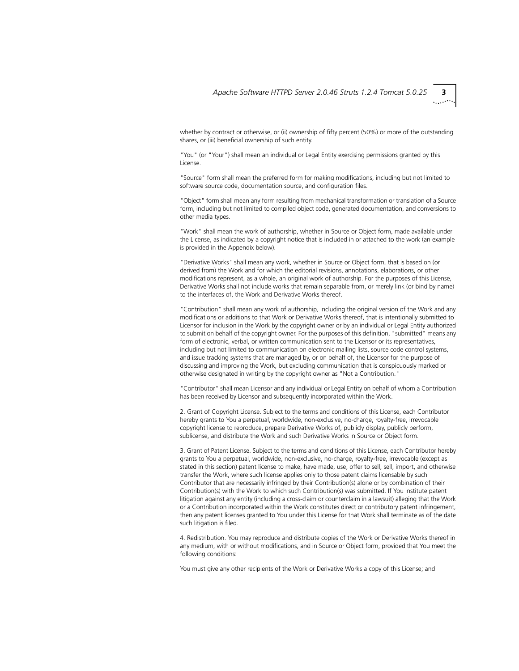whether by contract or otherwise, or (ii) ownership of fifty percent (50%) or more of the outstanding shares, or (iii) beneficial ownership of such entity.

"You" (or "Your") shall mean an individual or Legal Entity exercising permissions granted by this License.

"Source" form shall mean the preferred form for making modifications, including but not limited to software source code, documentation source, and configuration files.

"Object" form shall mean any form resulting from mechanical transformation or translation of a Source form, including but not limited to compiled object code, generated documentation, and conversions to other media types.

"Work" shall mean the work of authorship, whether in Source or Object form, made available under the License, as indicated by a copyright notice that is included in or attached to the work (an example is provided in the Appendix below).

"Derivative Works" shall mean any work, whether in Source or Object form, that is based on (or derived from) the Work and for which the editorial revisions, annotations, elaborations, or other modifications represent, as a whole, an original work of authorship. For the purposes of this License, Derivative Works shall not include works that remain separable from, or merely link (or bind by name) to the interfaces of, the Work and Derivative Works thereof.

"Contribution" shall mean any work of authorship, including the original version of the Work and any modifications or additions to that Work or Derivative Works thereof, that is intentionally submitted to Licensor for inclusion in the Work by the copyright owner or by an individual or Legal Entity authorized to submit on behalf of the copyright owner. For the purposes of this definition, "submitted" means any form of electronic, verbal, or written communication sent to the Licensor or its representatives, including but not limited to communication on electronic mailing lists, source code control systems, and issue tracking systems that are managed by, or on behalf of, the Licensor for the purpose of discussing and improving the Work, but excluding communication that is conspicuously marked or otherwise designated in writing by the copyright owner as "Not a Contribution."

"Contributor" shall mean Licensor and any individual or Legal Entity on behalf of whom a Contribution has been received by Licensor and subsequently incorporated within the Work.

2. Grant of Copyright License. Subject to the terms and conditions of this License, each Contributor hereby grants to You a perpetual, worldwide, non-exclusive, no-charge, royalty-free, irrevocable copyright license to reproduce, prepare Derivative Works of, publicly display, publicly perform, sublicense, and distribute the Work and such Derivative Works in Source or Object form.

3. Grant of Patent License. Subject to the terms and conditions of this License, each Contributor hereby grants to You a perpetual, worldwide, non-exclusive, no-charge, royalty-free, irrevocable (except as stated in this section) patent license to make, have made, use, offer to sell, sell, import, and otherwise transfer the Work, where such license applies only to those patent claims licensable by such Contributor that are necessarily infringed by their Contribution(s) alone or by combination of their Contribution(s) with the Work to which such Contribution(s) was submitted. If You institute patent litigation against any entity (including a cross-claim or counterclaim in a lawsuit) alleging that the Work or a Contribution incorporated within the Work constitutes direct or contributory patent infringement, then any patent licenses granted to You under this License for that Work shall terminate as of the date such litigation is filed.

4. Redistribution. You may reproduce and distribute copies of the Work or Derivative Works thereof in any medium, with or without modifications, and in Source or Object form, provided that You meet the following conditions:

You must give any other recipients of the Work or Derivative Works a copy of this License; and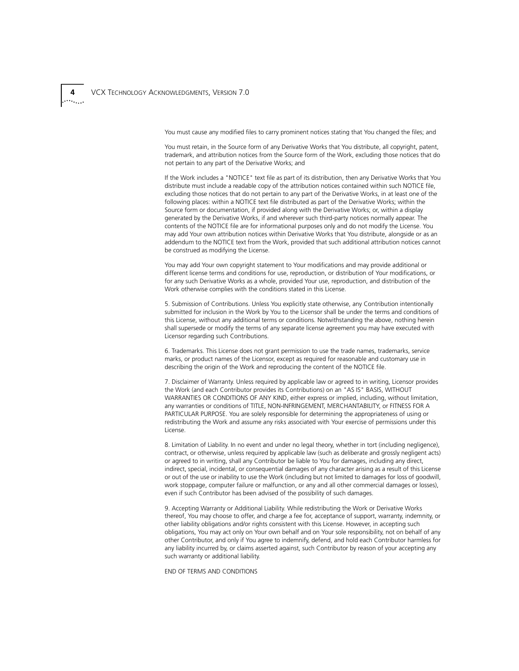You must cause any modified files to carry prominent notices stating that You changed the files; and

You must retain, in the Source form of any Derivative Works that You distribute, all copyright, patent, trademark, and attribution notices from the Source form of the Work, excluding those notices that do not pertain to any part of the Derivative Works; and

If the Work includes a "NOTICE" text file as part of its distribution, then any Derivative Works that You distribute must include a readable copy of the attribution notices contained within such NOTICE file, excluding those notices that do not pertain to any part of the Derivative Works, in at least one of the following places: within a NOTICE text file distributed as part of the Derivative Works; within the Source form or documentation, if provided along with the Derivative Works; or, within a display generated by the Derivative Works, if and wherever such third-party notices normally appear. The contents of the NOTICE file are for informational purposes only and do not modify the License. You may add Your own attribution notices within Derivative Works that You distribute, alongside or as an addendum to the NOTICE text from the Work, provided that such additional attribution notices cannot be construed as modifying the License.

You may add Your own copyright statement to Your modifications and may provide additional or different license terms and conditions for use, reproduction, or distribution of Your modifications, or for any such Derivative Works as a whole, provided Your use, reproduction, and distribution of the Work otherwise complies with the conditions stated in this License.

5. Submission of Contributions. Unless You explicitly state otherwise, any Contribution intentionally submitted for inclusion in the Work by You to the Licensor shall be under the terms and conditions of this License, without any additional terms or conditions. Notwithstanding the above, nothing herein shall supersede or modify the terms of any separate license agreement you may have executed with Licensor regarding such Contributions.

6. Trademarks. This License does not grant permission to use the trade names, trademarks, service marks, or product names of the Licensor, except as required for reasonable and customary use in describing the origin of the Work and reproducing the content of the NOTICE file.

7. Disclaimer of Warranty. Unless required by applicable law or agreed to in writing, Licensor provides the Work (and each Contributor provides its Contributions) on an "AS IS" BASIS, WITHOUT WARRANTIES OR CONDITIONS OF ANY KIND, either express or implied, including, without limitation, any warranties or conditions of TITLE, NON-INFRINGEMENT, MERCHANTABILITY, or FITNESS FOR A PARTICULAR PURPOSE. You are solely responsible for determining the appropriateness of using or redistributing the Work and assume any risks associated with Your exercise of permissions under this License.

8. Limitation of Liability. In no event and under no legal theory, whether in tort (including negligence), contract, or otherwise, unless required by applicable law (such as deliberate and grossly negligent acts) or agreed to in writing, shall any Contributor be liable to You for damages, including any direct, indirect, special, incidental, or consequential damages of any character arising as a result of this License or out of the use or inability to use the Work (including but not limited to damages for loss of goodwill, work stoppage, computer failure or malfunction, or any and all other commercial damages or losses), even if such Contributor has been advised of the possibility of such damages.

9. Accepting Warranty or Additional Liability. While redistributing the Work or Derivative Works thereof, You may choose to offer, and charge a fee for, acceptance of support, warranty, indemnity, or other liability obligations and/or rights consistent with this License. However, in accepting such obligations, You may act only on Your own behalf and on Your sole responsibility, not on behalf of any other Contributor, and only if You agree to indemnify, defend, and hold each Contributor harmless for any liability incurred by, or claims asserted against, such Contributor by reason of your accepting any such warranty or additional liability.

END OF TERMS AND CONDITIONS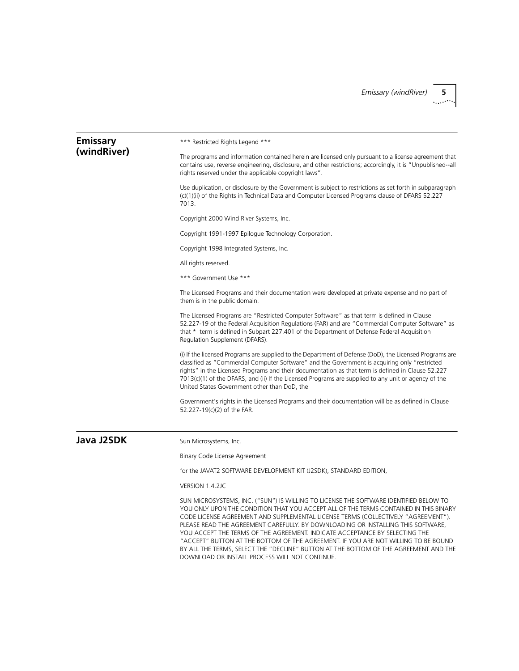## **Emissary (windRiver)** \*\*\* Restricted Rights Legend \*\*\* The programs and information contained herein are licensed only pursuant to a license agreement that contains use, reverse engineering, disclosure, and other restrictions; accordingly, it is "Unpublished--all rights reserved under the applicable copyright laws". Use duplication, or disclosure by the Government is subject to restrictions as set forth in subparagraph (c)(1)(ii) of the Rights in Technical Data and Computer Licensed Programs clause of DFARS 52.227 7013. Copyright 2000 Wind River Systems, Inc. Copyright 1991-1997 Epilogue Technology Corporation. Copyright 1998 Integrated Systems, Inc. All rights reserved. \*\*\* Government Use \*\*\* The Licensed Programs and their documentation were developed at private expense and no part of them is in the public domain. The Licensed Programs are "Restricted Computer Software" as that term is defined in Clause 52.227-19 of the Federal Acquisition Regulations (FAR) and are "Commercial Computer Software" as that \* term is defined in Subpart 227.401 of the Department of Defense Federal Acquisition Regulation Supplement (DFARS). (i) If the licensed Programs are supplied to the Department of Defense (DoD), the Licensed Programs are classified as "Commercial Computer Software" and the Government is acquiring only "restricted rights" in the Licensed Programs and their documentation as that term is defined in Clause 52.227 7013(c)(1) of the DFARS, and (ii) If the Licensed Programs are supplied to any unit or agency of the United States Government other than DoD, the Government's rights in the Licensed Programs and their documentation will be as defined in Clause 52.227-19(c)(2) of the FAR.

### **Java J2SDK** Sun Microsystems, Inc.

Binary Code License Agreement

for the JAVAT2 SOFTWARE DEVELOPMENT KIT (J2SDK), STANDARD EDITION,

VERSION 1.4.2JC

SUN MICROSYSTEMS, INC. ("SUN") IS WILLING TO LICENSE THE SOFTWARE IDENTIFIED BELOW TO YOU ONLY UPON THE CONDITION THAT YOU ACCEPT ALL OF THE TERMS CONTAINED IN THIS BINARY CODE LICENSE AGREEMENT AND SUPPLEMENTAL LICENSE TERMS (COLLECTIVELY "AGREEMENT"). PLEASE READ THE AGREEMENT CAREFULLY. BY DOWNLOADING OR INSTALLING THIS SOFTWARE, YOU ACCEPT THE TERMS OF THE AGREEMENT. INDICATE ACCEPTANCE BY SELECTING THE "ACCEPT" BUTTON AT THE BOTTOM OF THE AGREEMENT. IF YOU ARE NOT WILLING TO BE BOUND BY ALL THE TERMS, SELECT THE "DECLINE" BUTTON AT THE BOTTOM OF THE AGREEMENT AND THE DOWNLOAD OR INSTALL PROCESS WILL NOT CONTINUE.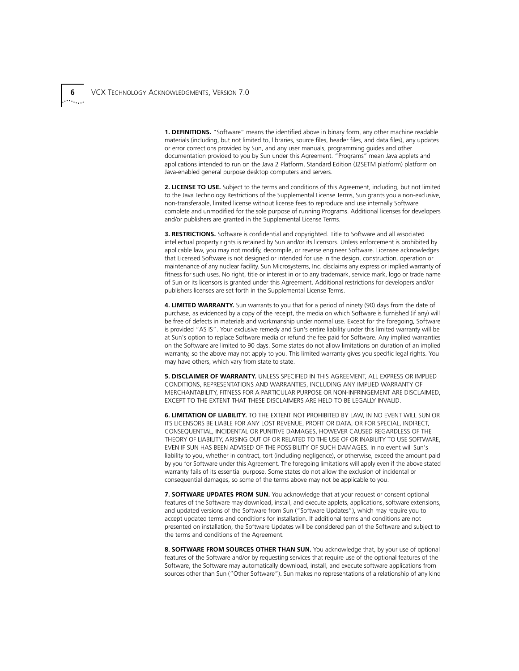**1. DEFINITIONS.** "Software" means the identified above in binary form, any other machine readable materials (including, but not limited to, libraries, source files, header files, and data files), any updates or error corrections provided by Sun, and any user manuals, programming guides and other documentation provided to you by Sun under this Agreement. "Programs" mean Java applets and applications intended to run on the Java 2 Platform, Standard Edition (J2SETM platform) platform on Java-enabled general purpose desktop computers and servers.

**2. LICENSE TO USE.** Subject to the terms and conditions of this Agreement, including, but not limited to the Java Technology Restrictions of the Supplemental License Terms, Sun grants you a non-exclusive, non-transferable, limited license without license fees to reproduce and use internally Software complete and unmodified for the sole purpose of running Programs. Additional licenses for developers and/or publishers are granted in the Supplemental License Terms.

**3. RESTRICTIONS.** Software is confidential and copyrighted. Title to Software and all associated intellectual property rights is retained by Sun and/or its licensors. Unless enforcement is prohibited by applicable law, you may not modify, decompile, or reverse engineer Software. Licensee acknowledges that Licensed Software is not designed or intended for use in the design, construction, operation or maintenance of any nuclear facility. Sun Microsystems, Inc. disclaims any express or implied warranty of fitness for such uses. No right, title or interest in or to any trademark, service mark, logo or trade name of Sun or its licensors is granted under this Agreement. Additional restrictions for developers and/or publishers licenses are set forth in the Supplemental License Terms.

**4. LIMITED WARRANTY.** Sun warrants to you that for a period of ninety (90) days from the date of purchase, as evidenced by a copy of the receipt, the media on which Software is furnished (if any) will be free of defects in materials and workmanship under normal use. Except for the foregoing, Software is provided "AS IS". Your exclusive remedy and Sun's entire liability under this limited warranty will be at Sun's option to replace Software media or refund the fee paid for Software. Any implied warranties on the Software are limited to 90 days. Some states do not allow limitations on duration of an implied warranty, so the above may not apply to you. This limited warranty gives you specific legal rights. You may have others, which vary from state to state.

**5. DISCLAIMER OF WARRANTY.** UNLESS SPECIFIED IN THIS AGREEMENT, ALL EXPRESS OR IMPLIED CONDITIONS, REPRESENTATIONS AND WARRANTIES, INCLUDING ANY IMPLIED WARRANTY OF MERCHANTABILITY, FITNESS FOR A PARTICULAR PURPOSE OR NON-INFRINGEMENT ARE DISCLAIMED, EXCEPT TO THE EXTENT THAT THESE DISCLAIMERS ARE HELD TO BE LEGALLY INVALID.

**6. LIMITATION OF LIABILITY.** TO THE EXTENT NOT PROHIBITED BY LAW, IN NO EVENT WILL SUN OR ITS LICENSORS BE LIABLE FOR ANY LOST REVENUE, PROFIT OR DATA, OR FOR SPECIAL, INDIRECT, CONSEQUENTIAL, INCIDENTAL OR PUNITIVE DAMAGES, HOWEVER CAUSED REGARDLESS OF THE THEORY OF LIABILITY, ARISING OUT OF OR RELATED TO THE USE OF OR INABILITY TO USE SOFTWARE, EVEN IF SUN HAS BEEN ADVISED OF THE POSSIBILITY OF SUCH DAMAGES. In no event will Sun's liability to you, whether in contract, tort (including negligence), or otherwise, exceed the amount paid by you for Software under this Agreement. The foregoing limitations will apply even if the above stated warranty fails of its essential purpose. Some states do not allow the exclusion of incidental or consequential damages, so some of the terms above may not be applicable to you.

**7. SOFTWARE UPDATES PROM SUN.** You acknowledge that at your request or consent optional features of the Software may download, install, and execute applets, applications, software extensions, and updated versions of the Software from Sun ("Software Updates"), which may require you to accept updated terms and conditions for installation. If additional terms and conditions are not presented on installation, the Software Updates will be considered pan of the Software and subject to the terms and conditions of the Agreement.

**8. SOFTWARE FROM SOURCES OTHER THAN SUN.** You acknowledge that, by your use of optional features of the Software and/or by requesting services that require use of the optional features of the Software, the Software may automatically download, install, and execute software applications from sources other than Sun ("Other Software"). Sun makes no representations of a relationship of any kind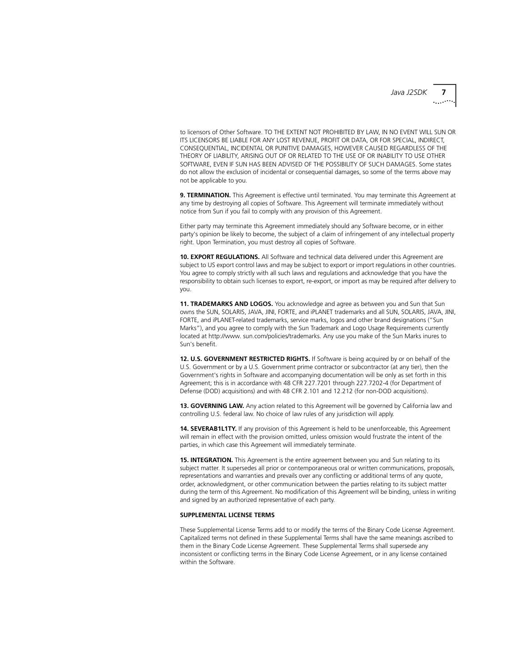to licensors of Other Software. TO THE EXTENT NOT PROHIBITED BY LAW, IN NO EVENT WILL SUN OR ITS LICENSORS BE LIABLE FOR ANY LOST REVENUE, PROFIT OR DATA, OR FOR SPECIAL, INDIRECT, CONSEQUENTIAL, INCIDENTAL OR PUNITIVE DAMAGES, HOWEVER CAUSED REGARDLESS OF THE THEORY OF LIABILITY, ARISING OUT OF OR RELATED TO THE USE OF OR INABILITY TO USE OTHER SOFTWARE, EVEN IF SUN HAS BEEN ADVISED OF THE POSSIBILITY OF SUCH DAMAGES. Some states do not allow the exclusion of incidental or consequential damages, so some of the terms above may not be applicable to you.

**9. TERMINATION.** This Agreement is effective until terminated. You may terminate this Agreement at any time by destroying all copies of Software. This Agreement will terminate immediately without notice from Sun if you fail to comply with any provision of this Agreement.

Either party may terminate this Agreement immediately should any Software become, or in either party's opinion be likely to become, the subject of a claim of infringement of any intellectual property right. Upon Termination, you must destroy all copies of Software.

10. **EXPORT REGULATIONS.** All Software and technical data delivered under this Agreement are subject to US export control laws and may be subject to export or import regulations in other countries. You agree to comply strictly with all such laws and regulations and acknowledge that you have the responsibility to obtain such licenses to export, re-export, or import as may be required after delivery to you.

**11. TRADEMARKS AND LOGOS.** You acknowledge and agree as between you and Sun that Sun owns the SUN, SOLARIS, JAVA, JINI, FORTE, and iPLANET trademarks and all SUN, SOLARIS, JAVA, JINI, FORTE, and iPLANET-related trademarks, service marks, logos and other brand designations ("Sun Marks"), and you agree to comply with the Sun Trademark and Logo Usage Requirements currently located at http://www. sun.com/policies/trademarks. Any use you make of the Sun Marks inures to Sun's benefit.

**12. U.S. GOVERNMENT RESTRICTED RIGHTS.** If Software is being acquired by or on behalf of the U.S. Government or by a U.S. Government prime contractor or subcontractor (at any tier), then the Government's rights in Software and accompanying documentation will be only as set forth in this Agreement; this is in accordance with 48 CFR 227.7201 through 227.7202-4 (for Department of Defense (DOD) acquisitions) and with 48 CFR 2.101 and 12.212 (for non-DOD acquisitions).

**13. GOVERNING LAW.** Any action related to this Agreement will be governed by California law and controlling U.S. federal law. No choice of law rules of any jurisdiction will apply.

**14. SEVERAB1L1TY.** If any provision of this Agreement is held to be unenforceable, this Agreement will remain in effect with the provision omitted, unless omission would frustrate the intent of the parties, in which case this Agreement will immediately terminate.

**15. INTEGRATION.** This Agreement is the entire agreement between you and Sun relating to its subject matter. It supersedes all prior or contemporaneous oral or written communications, proposals, representations and warranties and prevails over any conflicting or additional terms of any quote, order, acknowledgment, or other communication between the parties relating to its subject matter during the term of this Agreement. No modification of this Agreement will be binding, unless in writing and signed by an authorized representative of each party.

#### **SUPPLEMENTAL LICENSE TERMS**

These Supplemental License Terms add to or modify the terms of the Binary Code License Agreement. Capitalized terms not defined in these Supplemental Terms shall have the same meanings ascribed to them in the Binary Code License Agreement. These Supplemental Terms shall supersede any inconsistent or conflicting terms in the Binary Code License Agreement, or in any license contained within the Software.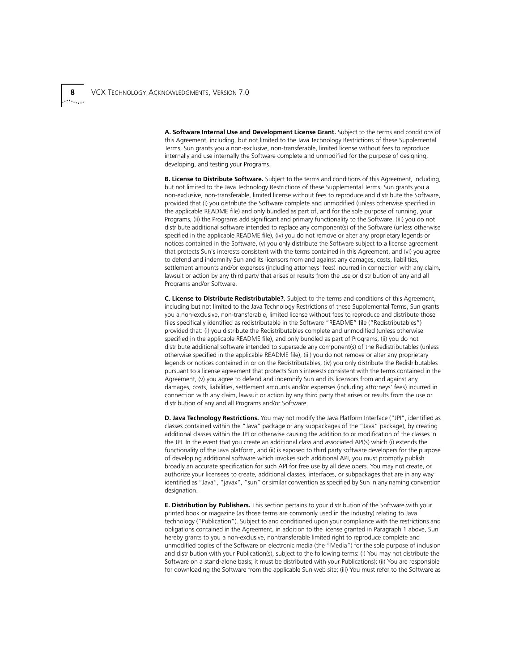**A. Software Internal Use and Development License Grant.** Subject to the terms and conditions of this Agreement, including, but not limited to the Java Technology Restrictions of these Supplemental Terms, Sun grants you a non-exclusive, non-transferable, limited license without fees to reproduce internally and use internally the Software complete and unmodified for the purpose of designing, developing, and testing your Programs.

**B. License to Distribute Software.** Subject to the terms and conditions of this Agreement, including, but not limited to the Java Technology Restrictions of these Supplemental Terms, Sun grants you a non-exclusive, non-transferable, limited license without fees to reproduce and distribute the Software, provided that (i) you distribute the Software complete and unmodified (unless otherwise specified in the applicable README file) and only bundled as part of, and for the sole purpose of running, your Programs, (ii) the Programs add significant and primary functionality to the Software, (iii) you do not distribute additional software intended to replace any component(s) of the Software (unless otherwise specified in the applicable README file), (iv) you do not remove or alter any proprietary legends or notices contained in the Software, (v) you only distribute the Software subject to a license agreement that protects Sun's interests consistent with the terms contained in this Agreement, and (vi) you agree to defend and indemnify Sun and its licensors from and against any damages, costs, liabilities, settlement amounts and/or expenses (including attorneys' fees) incurred in connection with any claim, lawsuit or action by any third party that arises or results from the use or distribution of any and all Programs and/or Software.

**C. License to Distribute Redistributable?.** Subject to the terms and conditions of this Agreement, including but not limited to the Java Technology Restrictions of these Supplemental Terms, Sun grants you a non-exclusive, non-transferable, limited license without fees to reproduce and distribute those files specifically identified as redistributable in the Software "README" file ("Redistributables") provided that: (i) you distribute the Redistributables complete and unmodified (unless otherwise specified in the applicable README file), and only bundled as part of Programs, (ii) you do not distribute additional software intended to supersede any component(s) of the Redistributables (unless otherwise specified in the applicable README file), (iii) you do not remove or alter any proprietary legends or notices contained in or on the Redistributables, (iv) you only distribute the Redislributables pursuant to a license agreement that protects Sun's interests consistent with the terms contained in the Agreement, (v) you agree to defend and indemnify Sun and its licensors from and against any damages, costs, liabilities, settlement amounts and/or expenses (including attorneys' fees) incurred in connection with any claim, lawsuit or action by any third party that arises or results from the use or distribution of any and all Programs and/or Software.

**D. Java Technology Restrictions.** You may not modify the Java Platform Interface ("JPI", identified as classes contained within the "Java" package or any subpackages of the "Java" package), by creating additional classes within the JPI or otherwise causing the addition to or modification of the classes in the JPI. In the event that you create an additional class and associated API(s) which (i) extends the functionality of the Java platform, and (ii) is exposed to third party software developers for the purpose of developing additional software which invokes such additional API, you must promptly publish broadly an accurate specification for such API for free use by all developers. You may not create, or authorize your licensees to create, additional classes, interfaces, or subpackages that are in any way identified as "Java", "javax", "sun" or similar convention as specified by Sun in any naming convention designation.

**E. Distribution by Publishers.** This section pertains to your distribution of the Software with your printed book or magazine (as those terms are commonly used in the industry) relating to Java technology ("Publication"). Subject to and conditioned upon your compliance with the restrictions and obligations contained in the Agreement, in addition to the license granted in Paragraph 1 above, Sun hereby grants to you a non-exclusive, nontransferable limited right to reproduce complete and unmodified copies of the Software on electronic media (the "Media") for the sole purpose of inclusion and distribution with your Publication(s), subject to the following terms: (i) You may not distribute the Software on a stand-alone basis; it must be distributed with your Publications); (ii) You are responsible for downloading the Software from the applicable Sun web site; (iii) You must refer to the Software as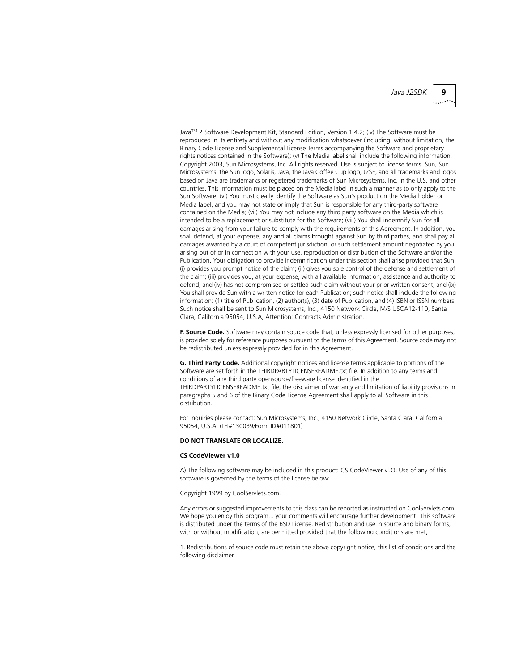JavaTM 2 Software Development Kit, Standard Edition, Version 1.4.2; (iv) The Software must be reproduced in its entirety and without any modification whatsoever (including, without limitation, the Binary Code License and Supplemental License Terms accompanying the Software and proprietary rights notices contained in the Software); (v) The Media label shall include the following information: Copyright 2003, Sun Microsystems, Inc. All rights reserved. Use is subject to license terms. Sun, Sun Microsystems, the Sun logo, Solaris, Java, the Java Coffee Cup logo, J2SE, and all trademarks and logos based on Java are trademarks or registered trademarks of Sun Microsystems, Inc. in the U.S. and other countries. This information must be placed on the Media label in such a manner as to only apply to the Sun Software; (vi) You must clearly identify the Software as Sun's product on the Media holder or Media label, and you may not state or imply that Sun is responsible for any third-party software contained on the Media; (vii) You may not include any third party software on the Media which is intended to be a replacement or substitute for the Software; (viii) You shall indemnify Sun for all damages arising from your failure to comply with the requirements of this Agreement. In addition, you shall defend, at your expense, any and all claims brought against Sun by third parties, and shall pay all damages awarded by a court of competent jurisdiction, or such settlement amount negotiated by you, arising out of or in connection with your use, reproduction or distribution of the Software and/or the Publication. Your obligation to provide indemnification under this section shall arise provided that Sun: (i) provides you prompt notice of the claim; (ii) gives you sole control of the defense and settlement of the claim; (iii) provides you, at your expense, with all available information, assistance and authority to defend; and (iv) has not compromised or settled such claim without your prior written consent; and (ix) You shall provide Sun with a written notice for each Publication; such notice shall include the following information: (1) title of Publication, (2) author(s), (3) date of Publication, and (4) ISBN or ISSN numbers. Such notice shall be sent to Sun Microsystems, Inc., 4150 Network Circle, M/S USCA12-110, Santa Clara, California 95054, U.S.A, Attention: Contracts Administration.

**F. Source Code.** Software may contain source code that, unless expressly licensed for other purposes, is provided solely for reference purposes pursuant to the terms of this Agreement. Source code may not be redistributed unless expressly provided for in this Agreement.

**G. Third Party Code.** Additional copyright notices and license terms applicable to portions of the Software are set forth in the THIRDPARTYLICENSEREADME.txt file. In addition to any terms and conditions of any third party opensource/freeware license identified in the THIRDPARTYLICENSEREADME.txt file, the disclaimer of warranty and limitation of liability provisions in paragraphs 5 and 6 of the Binary Code License Agreement shall apply to all Software in this distribution.

For inquiries please contact: Sun Microsystems, Inc., 4150 Network Circle, Santa Clara, California 95054, U.S.A. (LFI#130039/Form ID#011801)

#### **DO NOT TRANSLATE OR LOCALIZE.**

#### **CS CodeViewer v1.0**

A) The following software may be included in this product: CS CodeViewer vl.O; Use of any of this software is governed by the terms of the license below:

Copyright 1999 by CoolServlets.com.

Any errors or suggested improvements to this class can be reported as instructed on CoolServlets.com. We hope you enjoy this program... your comments will encourage further development! This software is distributed under the terms of the BSD License. Redistribution and use in source and binary forms, with or without modification, are permitted provided that the following conditions are met;

1. Redistributions of source code must retain the above copyright notice, this list of conditions and the following disclaimer.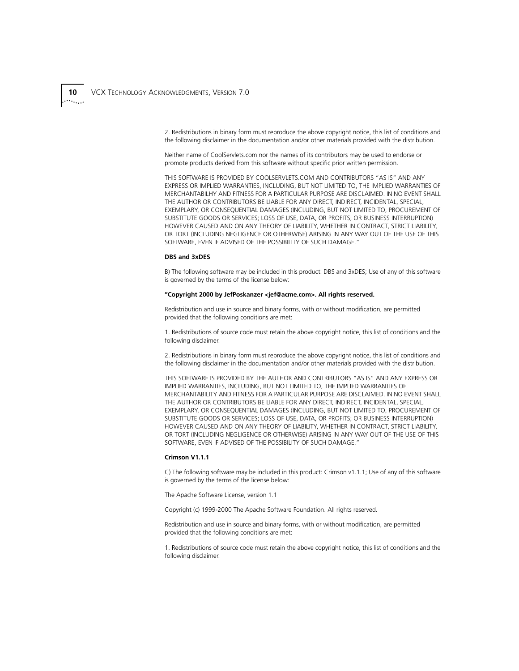2. Redistributions in binary form must reproduce the above copyright notice, this list of conditions and the following disclaimer in the documentation and/or other materials provided with the distribution.

Neither name of CoolServlets.com nor the names of its contributors may be used to endorse or promote products derived from this software without specific prior written permission.

THIS SOFTWARE IS PROVIDED BY COOLSERVLETS.COM AND CONTRIBUTORS "AS IS" AND ANY EXPRESS OR IMPLIED WARRANTIES, INCLUDING, BUT NOT LIMITED TO, THE IMPLIED WARRANTIES OF MERCHANTABILHY AND FITNESS FOR A PARTICULAR PURPOSE ARE DISCLAIMED. IN NO EVENT SHALL THE AUTHOR OR CONTRIBUTORS BE LIABLE FOR ANY DIRECT, INDIRECT, INCIDENTAL, SPECIAL, EXEMPLARY, OR CONSEQUENTIAL DAMAGES (INCLUDING, BUT NOT LIMITED TO, PROCUREMENT OF SUBSTITUTE GOODS OR SERVICES; LOSS OF USE, DATA, OR PROFITS; OR BUSINESS INTERRUPTION) HOWEVER CAUSED AND ON ANY THEORY OF LIABILITY, WHETHER IN CONTRACT, STRICT LIABILITY, OR TORT (INCLUDING NEGLIGENCE OR OTHERWISE) ARISING IN ANY WAY OUT OF THE USE OF THIS SOFTWARE, EVEN IF ADVISED OF THE POSSIBILITY OF SUCH DAMAGE."

#### **DBS and 3xDES**

B) The following software may be included in this product: DBS and 3xDES; Use of any of this software is governed by the terms of the license below:

#### **"Copyright 2000 by JefPoskanzer <jef@acme.com>. All rights reserved.**

Redistribution and use in source and binary forms, with or without modification, are permitted provided that the following conditions are met:

1. Redistributions of source code must retain the above copyright notice, this list of conditions and the following disclaimer.

2. Redistributions in binary form must reproduce the above copyright notice, this list of conditions and the following disclaimer in the documentation and/or other materials provided with the distribution.

THIS SOFTWARE IS PROVIDED BY THE AUTHOR AND CONTRIBUTORS "AS IS" AND ANY EXPRESS OR IMPLIED WARRANTIES, INCLUDING, BUT NOT LIMITED TO, THE IMPLIED WARRANTIES OF MERCHANTABILITY AND FITNESS FOR A PARTICULAR PURPOSE ARE DISCLAIMED. IN NO EVENT SHALL THE AUTHOR OR CONTRIBUTORS BE LIABLE FOR ANY DIRECT, INDIRECT, INCIDENTAL, SPECIAL, EXEMPLARY, OR CONSEQUENTIAL DAMAGES (INCLUDING, BUT NOT LIMITED TO, PROCUREMENT OF SUBSTITUTE GOODS OR SERVICES; LOSS OF USE, DATA, OR PROFITS; OR BUSINESS INTERRUPTION) HOWEVER CAUSED AND ON ANY THEORY OF LIABILITY, WHETHER IN CONTRACT, STRICT LIABILITY, OR TORT (INCLUDING NEGLIGENCE OR OTHERWISE) ARISING IN ANY WAY OUT OF THE USE OF THIS SOFTWARE, EVEN IF ADVISED OF THE POSSIBILITY OF SUCH DAMAGE."

#### **Crimson V1.1.1**

C) The following software may be included in this product: Crimson v1.1.1; Use of any of this software is governed by the terms of the license below:

The Apache Software License, version 1.1

Copyright (c) 1999-2000 The Apache Software Foundation. All rights reserved.

Redistribution and use in source and binary forms, with or without modification, are permitted provided that the following conditions are met:

1. Redistributions of source code must retain the above copyright notice, this list of conditions and the following disclaimer.

 $\cdots$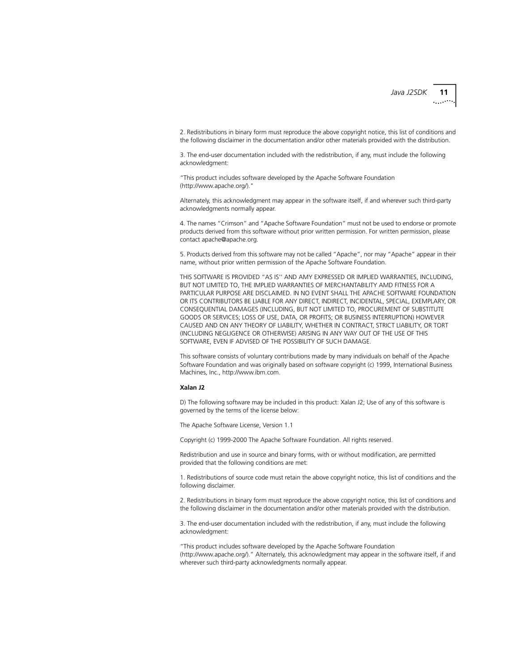2. Redistributions in binary form must reproduce the above copyright notice, this list of conditions and the following disclaimer in the documentation and/or other materials provided with the distribution.

3. The end-user documentation included with the redistribution, if any, must include the following acknowledgment:

"This product includes software developed by the Apache Software Foundation (http://www.apache.org/)."

Alternately, this acknowledgment may appear in the software itself, if and wherever such third-party acknowledgments normally appear.

4. The names "Crimson" and "Apache Software Foundation" must not be used to endorse or promote products derived from this software without prior written permission. For written permission, please contact apache@apache.org.

5. Products derived from this software may not be called "Apache", nor may "Apache" appear in their name, without prior written permission of the Apache Software Foundation.

THIS SOFTWARE IS PROVIDED "AS IS'' AND AMY EXPRESSED OR IMPLIED WARRANTIES, INCLUDING, BUT NOT LIMITED TO, THE IMPLIED WARRANTIES OF MERCHANTABILITY AMD FITNESS FOR A PARTICULAR PURPOSE ARE DISCLAIMED. IN NO EVENT SHALL THE APACHE SOFTWARE FOUNDATION OR ITS CONTRIBUTORS BE LIABLE FOR ANY DIRECT, INDIRECT, INCIDENTAL, SPECIAL, EXEMPLARY, OR CONSEQUENTIAL DAMAGES (INCLUDING, BUT NOT LIMITED TO, PROCUREMENT OF SUBSTITUTE GOODS OR SERVICES; LOSS OF USE, DATA, OR PROFITS; OR BUSINESS INTERRUPTION) HOWEVER CAUSED AND ON ANY THEORY OF LIABILITY, WHETHER IN CONTRACT, STRICT LIABILITY, OR TORT (INCLUDING NEGLIGENCE OR OTHERWISE) ARISING IN ANY WAY OUT OF THE USE OF THIS SOFTWARE, EVEN IF ADVISED OF THE POSSIBILITY OF SUCH DAMAGE.

This software consists of voluntary contributions made by many individuals on behalf of the Apache Software Foundation and was originally based on software copyright (c) 1999, International Business Machines, Inc., http://www.ibm.com.

#### **Xalan J2**

D) The following software may be included in this product: Xalan J2; Use of any of this software is governed by the terms of the license below:

The Apache Software License, Version 1.1

Copyright (c) 1999-2000 The Apache Software Foundation. All rights reserved.

Redistribution and use in source and binary forms, with or without modification, are permitted provided that the following conditions are met:

1. Redistributions of source code must retain the above copyright notice, this list of conditions and the following disclaimer.

2. Redistributions in binary form must reproduce the above copyright notice, this list of conditions and the following disclaimer in the documentation and/or other materials provided with the distribution.

3. The end-user documentation included with the redistribution, if any, must include the following acknowledgment:

"This product includes software developed by the Apache Software Foundation (http://www.apache.org/)." Alternately, this acknowledgment may appear in the software itself, if and wherever such third-party acknowledgments normally appear.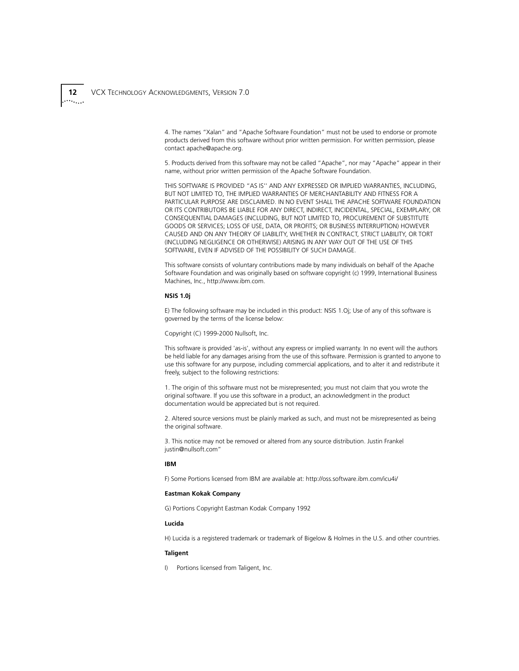ورزوده

4. The names "Xalan" and "Apache Software Foundation" must not be used to endorse or promote products derived from this software without prior written permission. For written permission, please contact apache@apache.org.

5. Products derived from this software may not be called "Apache", nor may "Apache" appear in their name, without prior written permission of the Apache Software Foundation.

THIS SOFTWARE IS PROVIDED "AS IS'' AND ANY EXPRESSED OR IMPLIED WARRANTIES, INCLUDING, BUT NOT LIMITED TO, THE IMPLIED WARRANTIES OF MERCHANTABILITY AND FITNESS FOR A PARTICULAR PURPOSE ARE DISCLAIMED. IN NO EVENT SHALL THE APACHE SOFTWARE FOUNDATION OR ITS CONTRIBUTORS BE LIABLE FOR ANY DIRECT, INDIRECT, INCIDENTAL, SPECIAL, EXEMPLARY, OR CONSEQUENTIAL DAMAGES (INCLUDING, BUT NOT LIMITED TO, PROCUREMENT OF SUBSTITUTE GOODS OR SERVICES; LOSS OF USE, DATA, OR PROFITS; OR BUSINESS INTERRUPTION) HOWEVER CAUSED AND ON ANY THEORY OF LIABILITY, WHETHER IN CONTRACT, STRICT LIABILITY, OR TORT (INCLUDING NEGLIGENCE OR OTHERWISE) ARISING IN ANY WAY OUT OF THE USE OF THIS SOFTWARE, EVEN IF ADVISED OF THE POSSIBILITY OF SUCH DAMAGE.

This software consists of voluntary contributions made by many individuals on behalf of the Apache Software Foundation and was originally based on software copyright (c) 1999, International Business Machines, Inc., http://www.ibm.com.

#### **NSIS 1.0j**

E) The following software may be included in this product: NSIS 1.Oj; Use of any of this software is governed by the terms of the license below:

Copyright (C) 1999-2000 Nullsoft, Inc.

This software is provided 'as-is', without any express or implied warranty. In no event will the authors be held liable for any damages arising from the use of this software. Permission is granted to anyone to use this software for any purpose, including commercial applications, and to alter it and redistribute it freely, subject to the following restrictions:

1. The origin of this software must not be misrepresented; you must not claim that you wrote the original software. If you use this software in a product, an acknowledgment in the product documentation would be appreciated but is not required.

2. Altered source versions must be plainly marked as such, and must not be misrepresented as being the original software.

3. This notice may not be removed or altered from any source distribution. Justin Frankel justin@nullsoft.com"

#### **IBM**

F) Some Portions licensed from IBM are available at: http://oss.software.ibm.com/icu4i/

#### **Eastman Kokak Company**

G) Portions Copyright Eastman Kodak Company 1992

#### **Lucida**

H) Lucida is a registered trademark or trademark of Bigelow & Holmes in the U.S. and other countries.

#### **Taligent**

I) Portions licensed from Taligent, Inc.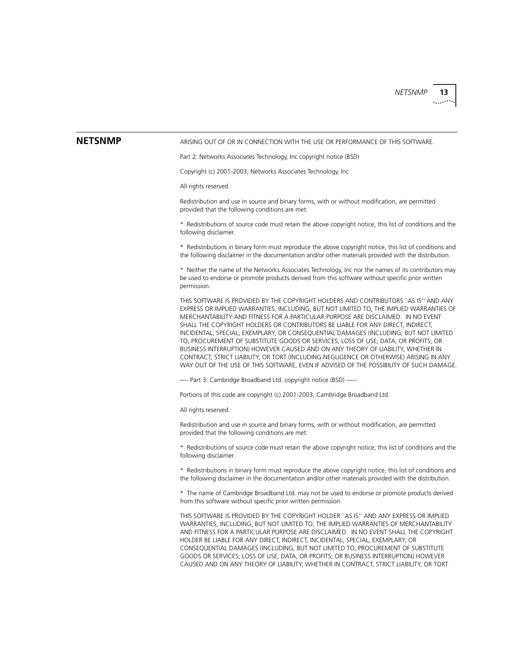**NETSNMP** ARISING OUT OF OR IN CONNECTION WITH THE USE OR PERFORMANCE OF THIS SOFTWARE.

Part 2: Networks Associates Technology, Inc copyright notice (BSD)

Copyright (c) 2001-2003, Networks Associates Technology, Inc

All rights reserved.

Redistribution and use in source and binary forms, with or without modification, are permitted provided that the following conditions are met:

\* Redistributions of source code must retain the above copyright notice, this list of conditions and the following disclaimer.

\* Redistributions in binary form must reproduce the above copyright notice, this list of conditions and the following disclaimer in the documentation and/or other materials provided with the distribution.

\* Neither the name of the Networks Associates Technology, Inc nor the names of its contributors may be used to endorse or promote products derived from this software without specific prior written permission.

THIS SOFTWARE IS PROVIDED BY THE COPYRIGHT HOLDERS AND CONTRIBUTORS ``AS IS'' AND ANY EXPRESS OR IMPLIED WARRANTIES, INCLUDING, BUT NOT LIMITED TO, THE IMPLIED WARRANTIES OF MERCHANTABILITY AND FITNESS FOR A PARTICULAR PURPOSE ARE DISCLAIMED. IN NO EVENT SHALL THE COPYRIGHT HOLDERS OR CONTRIBUTORS BE LIABLE FOR ANY DIRECT, INDIRECT, INCIDENTAL, SPECIAL, EXEMPLARY, OR CONSEQUENTIAL DAMAGES (INCLUDING, BUT NOT LIMITED TO, PROCUREMENT OF SUBSTITUTE GOODS OR SERVICES; LOSS OF USE, DATA, OR PROFITS; OR BUSINESS INTERRUPTION) HOWEVER CAUSED AND ON ANY THEORY OF LIABILITY, WHETHER IN CONTRACT, STRICT LIABILITY, OR TORT (INCLUDING NEGLIGENCE OR OTHERWISE) ARISING IN ANY WAY OUT OF THE USE OF THIS SOFTWARE, EVEN IF ADVISED OF THE POSSIBILITY OF SUCH DAMAGE.

---- Part 3: Cambridge Broadband Ltd. copyright notice (BSD) -----

Portions of this code are copyright (c) 2001-2003, Cambridge Broadband Ltd.

All rights reserved.

Redistribution and use in source and binary forms, with or without modification, are permitted provided that the following conditions are met:

\* Redistributions of source code must retain the above copyright notice, this list of conditions and the following disclaimer.

\* Redistributions in binary form must reproduce the above copyright notice, this list of conditions and the following disclaimer in the documentation and/or other materials provided with the distribution.

\* The name of Cambridge Broadband Ltd. may not be used to endorse or promote products derived from this software without specific prior written permission.

THIS SOFTWARE IS PROVIDED BY THE COPYRIGHT HOLDER "AS IS" AND ANY EXPRESS OR IMPLIED WARRANTIES, INCLUDING, BUT NOT LIMITED TO, THE IMPLIED WARRANTIES OF MERCHANTABILITY AND FITNESS FOR A PARTICULAR PURPOSE ARE DISCLAIMED. IN NO EVENT SHALL THE COPYRIGHT HOLDER BE LIABLE FOR ANY DIRECT, INDIRECT, INCIDENTAL, SPECIAL, EXEMPLARY, OR CONSEQUENTIAL DAMAGES (INCLUDING, BUT NOT LIMITED TO, PROCUREMENT OF SUBSTITUTE GOODS OR SERVICES; LOSS OF USE, DATA, OR PROFITS; OR BUSINESS INTERRUPTION) HOWEVER CAUSED AND ON ANY THEORY OF LIABILITY, WHETHER IN CONTRACT, STRICT LIABILITY, OR TORT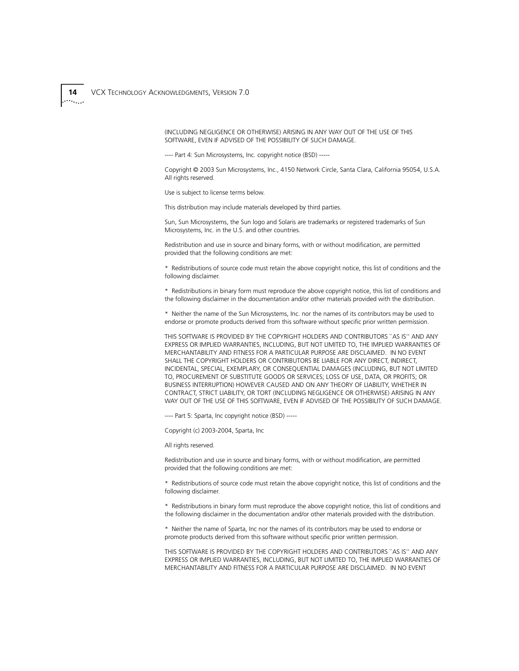(INCLUDING NEGLIGENCE OR OTHERWISE) ARISING IN ANY WAY OUT OF THE USE OF THIS SOFTWARE, EVEN IF ADVISED OF THE POSSIBILITY OF SUCH DAMAGE.

---- Part 4: Sun Microsystems, Inc. copyright notice (BSD) -----

Copyright © 2003 Sun Microsystems, Inc., 4150 Network Circle, Santa Clara, California 95054, U.S.A. All rights reserved.

Use is subject to license terms below.

This distribution may include materials developed by third parties.

Sun, Sun Microsystems, the Sun logo and Solaris are trademarks or registered trademarks of Sun Microsystems, Inc. in the U.S. and other countries.

Redistribution and use in source and binary forms, with or without modification, are permitted provided that the following conditions are met:

\* Redistributions of source code must retain the above copyright notice, this list of conditions and the following disclaimer.

\* Redistributions in binary form must reproduce the above copyright notice, this list of conditions and the following disclaimer in the documentation and/or other materials provided with the distribution.

\* Neither the name of the Sun Microsystems, Inc. nor the names of its contributors may be used to endorse or promote products derived from this software without specific prior written permission.

THIS SOFTWARE IS PROVIDED BY THE COPYRIGHT HOLDERS AND CONTRIBUTORS ``AS IS'' AND ANY EXPRESS OR IMPLIED WARRANTIES, INCLUDING, BUT NOT LIMITED TO, THE IMPLIED WARRANTIES OF MERCHANTABILITY AND FITNESS FOR A PARTICULAR PURPOSE ARE DISCLAIMED. IN NO EVENT SHALL THE COPYRIGHT HOLDERS OR CONTRIBUTORS BE LIABLE FOR ANY DIRECT, INDIRECT, INCIDENTAL, SPECIAL, EXEMPLARY, OR CONSEQUENTIAL DAMAGES (INCLUDING, BUT NOT LIMITED TO, PROCUREMENT OF SUBSTITUTE GOODS OR SERVICES; LOSS OF USE, DATA, OR PROFITS; OR BUSINESS INTERRUPTION) HOWEVER CAUSED AND ON ANY THEORY OF LIABILITY, WHETHER IN CONTRACT, STRICT LIABILITY, OR TORT (INCLUDING NEGLIGENCE OR OTHERWISE) ARISING IN ANY WAY OUT OF THE USE OF THIS SOFTWARE, EVEN IF ADVISED OF THE POSSIBILITY OF SUCH DAMAGE.

---- Part 5: Sparta, Inc copyright notice (BSD) -----

Copyright (c) 2003-2004, Sparta, Inc

All rights reserved.

Redistribution and use in source and binary forms, with or without modification, are permitted provided that the following conditions are met:

\* Redistributions of source code must retain the above copyright notice, this list of conditions and the following disclaimer.

\* Redistributions in binary form must reproduce the above copyright notice, this list of conditions and the following disclaimer in the documentation and/or other materials provided with the distribution.

\* Neither the name of Sparta, Inc nor the names of its contributors may be used to endorse or promote products derived from this software without specific prior written permission.

THIS SOFTWARE IS PROVIDED BY THE COPYRIGHT HOLDERS AND CONTRIBUTORS ``AS IS'' AND ANY EXPRESS OR IMPLIED WARRANTIES, INCLUDING, BUT NOT LIMITED TO, THE IMPLIED WARRANTIES OF MERCHANTABILITY AND FITNESS FOR A PARTICULAR PURPOSE ARE DISCLAIMED. IN NO EVENT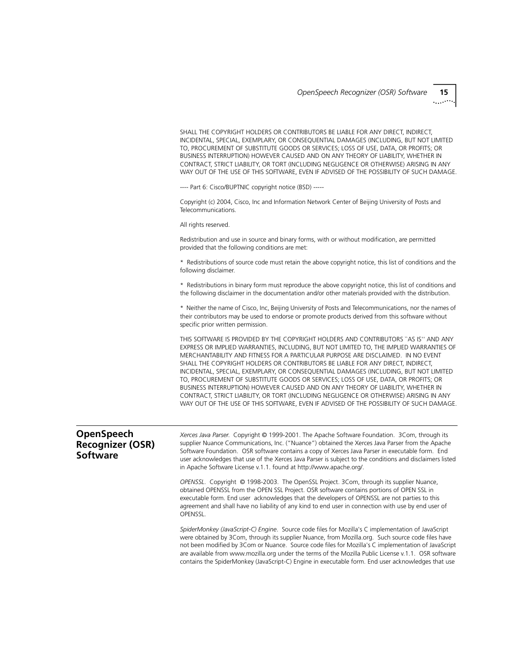SHALL THE COPYRIGHT HOLDERS OR CONTRIBUTORS BE LIABLE FOR ANY DIRECT, INDIRECT, INCIDENTAL, SPECIAL, EXEMPLARY, OR CONSEQUENTIAL DAMAGES (INCLUDING, BUT NOT LIMITED TO, PROCUREMENT OF SUBSTITUTE GOODS OR SERVICES; LOSS OF USE, DATA, OR PROFITS; OR BUSINESS INTERRUPTION) HOWEVER CAUSED AND ON ANY THEORY OF LIABILITY, WHETHER IN CONTRACT, STRICT LIABILITY, OR TORT (INCLUDING NEGLIGENCE OR OTHERWISE) ARISING IN ANY WAY OUT OF THE USE OF THIS SOFTWARE, EVEN IF ADVISED OF THE POSSIBILITY OF SUCH DAMAGE.

---- Part 6: Cisco/BUPTNIC copyright notice (BSD) -----

Copyright (c) 2004, Cisco, Inc and Information Network Center of Beijing University of Posts and Telecommunications.

All rights reserved.

Redistribution and use in source and binary forms, with or without modification, are permitted provided that the following conditions are met:

\* Redistributions of source code must retain the above copyright notice, this list of conditions and the following disclaimer.

\* Redistributions in binary form must reproduce the above copyright notice, this list of conditions and the following disclaimer in the documentation and/or other materials provided with the distribution.

\* Neither the name of Cisco, Inc, Beijing University of Posts and Telecommunications, nor the names of their contributors may be used to endorse or promote products derived from this software without specific prior written permission.

THIS SOFTWARE IS PROVIDED BY THE COPYRIGHT HOLDERS AND CONTRIBUTORS ``AS IS'' AND ANY EXPRESS OR IMPLIED WARRANTIES, INCLUDING, BUT NOT LIMITED TO, THE IMPLIED WARRANTIES OF MERCHANTABILITY AND FITNESS FOR A PARTICULAR PURPOSE ARE DISCLAIMED. IN NO EVENT SHALL THE COPYRIGHT HOLDERS OR CONTRIBUTORS BE LIABLE FOR ANY DIRECT, INDIRECT, INCIDENTAL, SPECIAL, EXEMPLARY, OR CONSEQUENTIAL DAMAGES (INCLUDING, BUT NOT LIMITED TO, PROCUREMENT OF SUBSTITUTE GOODS OR SERVICES; LOSS OF USE, DATA, OR PROFITS; OR BUSINESS INTERRUPTION) HOWEVER CAUSED AND ON ANY THEORY OF LIABILITY, WHETHER IN CONTRACT, STRICT LIABILITY, OR TORT (INCLUDING NEGLIGENCE OR OTHERWISE) ARISING IN ANY WAY OUT OF THE USE OF THIS SOFTWARE, EVEN IF ADVISED OF THE POSSIBILITY OF SUCH DAMAGE.

### **OpenSpeech Recognizer (OSR) Software**

*Xerces Java Parser*. Copyright © 1999-2001. The Apache Software Foundation. 3Com, through its supplier Nuance Communications, Inc. ("Nuance") obtained the Xerces Java Parser from the Apache Software Foundation. OSR software contains a copy of Xerces Java Parser in executable form. End user acknowledges that use of the Xerces Java Parser is subject to the conditions and disclaimers listed in Apache Software License v.1.1. found at http://www.apache.org/.

*OPENSSL*. Copyright © 1998-2003. The OpenSSL Project. 3Com, through its supplier Nuance, obtained OPENSSL from the OPEN SSL Project. OSR software contains portions of OPEN SSL in executable form. End user acknowledges that the developers of OPENSSL are not parties to this agreement and shall have no liability of any kind to end user in connection with use by end user of OPENSSL.

*SpiderMonkey (JavaScript-C) Engine*. Source code files for Mozilla's C implementation of JavaScript were obtained by 3Com, through its supplier Nuance, from Mozilla.org. Such source code files have not been modified by 3Com or Nuance. Source code files for Mozilla's C implementation of JavaScript are available from www.mozilla.org under the terms of the Mozilla Public License v.1.1. OSR software contains the SpiderMonkey (JavaScript-C) Engine in executable form. End user acknowledges that use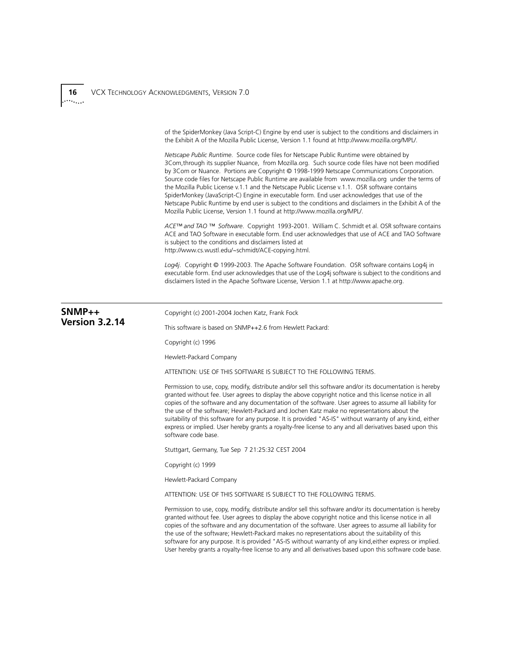|                       | of the SpiderMonkey (Java Script-C) Engine by end user is subject to the conditions and disclaimers in<br>the Exhibit A of the Mozilla Public License, Version 1.1 found at http://www.mozilla.org/MPL/.                                                                                                                                                                                                                                                                                                                                                                                                                                                                                                                                                                                     |
|-----------------------|----------------------------------------------------------------------------------------------------------------------------------------------------------------------------------------------------------------------------------------------------------------------------------------------------------------------------------------------------------------------------------------------------------------------------------------------------------------------------------------------------------------------------------------------------------------------------------------------------------------------------------------------------------------------------------------------------------------------------------------------------------------------------------------------|
|                       | Netscape Public Runtime. Source code files for Netscape Public Runtime were obtained by<br>3Com, through its supplier Nuance, from Mozilla.org. Such source code files have not been modified<br>by 3Com or Nuance. Portions are Copyright @ 1998-1999 Netscape Communications Corporation.<br>Source code files for Netscape Public Runtime are available from www.mozilla.org under the terms of<br>the Mozilla Public License v.1.1 and the Netscape Public License v.1.1. OSR software contains<br>SpiderMonkey (JavaScript-C) Engine in executable form. End user acknowledges that use of the<br>Netscape Public Runtime by end user is subject to the conditions and disclaimers in the Exhibit A of the<br>Mozilla Public License, Version 1.1 found at http://www.mozilla.org/MPL/. |
|                       | ACE™ and TAO ™ Software. Copyright 1993-2001. William C. Schmidt et al. OSR software contains<br>ACE and TAO Software in executable form. End user acknowledges that use of ACE and TAO Software<br>is subject to the conditions and disclaimers listed at<br>http://www.cs.wustl.edu/~schmidt/ACE-copying.html.                                                                                                                                                                                                                                                                                                                                                                                                                                                                             |
|                       | Log4j. Copyright © 1999-2003. The Apache Software Foundation. OSR software contains Log4j in<br>executable form. End user acknowledges that use of the Log4j software is subject to the conditions and<br>disclaimers listed in the Apache Software License, Version 1.1 at http://www.apache.org.                                                                                                                                                                                                                                                                                                                                                                                                                                                                                           |
| SNMP++                | Copyright (c) 2001-2004 Jochen Katz, Frank Fock                                                                                                                                                                                                                                                                                                                                                                                                                                                                                                                                                                                                                                                                                                                                              |
| <b>Version 3.2.14</b> | This software is based on SNMP++2.6 from Hewlett Packard:                                                                                                                                                                                                                                                                                                                                                                                                                                                                                                                                                                                                                                                                                                                                    |
|                       | Copyright (c) 1996                                                                                                                                                                                                                                                                                                                                                                                                                                                                                                                                                                                                                                                                                                                                                                           |
|                       | Hewlett-Packard Company                                                                                                                                                                                                                                                                                                                                                                                                                                                                                                                                                                                                                                                                                                                                                                      |
|                       | ATTENTION: USE OF THIS SOFTWARE IS SUBJECT TO THE FOLLOWING TERMS.                                                                                                                                                                                                                                                                                                                                                                                                                                                                                                                                                                                                                                                                                                                           |
|                       | Permission to use, copy, modify, distribute and/or sell this software and/or its documentation is hereby<br>granted without fee. User agrees to display the above copyright notice and this license notice in all<br>copies of the software and any documentation of the software. User agrees to assume all liability for<br>the use of the software; Hewlett-Packard and Jochen Katz make no representations about the<br>suitability of this software for any purpose. It is provided "AS-IS" without warranty of any kind, either<br>express or implied. User hereby grants a royalty-free license to any and all derivatives based upon this<br>software code base.                                                                                                                     |
|                       | Stuttgart, Germany, Tue Sep 7 21:25:32 CEST 2004                                                                                                                                                                                                                                                                                                                                                                                                                                                                                                                                                                                                                                                                                                                                             |
|                       | Copyright (c) 1999                                                                                                                                                                                                                                                                                                                                                                                                                                                                                                                                                                                                                                                                                                                                                                           |
|                       | Hewlett-Packard Company                                                                                                                                                                                                                                                                                                                                                                                                                                                                                                                                                                                                                                                                                                                                                                      |
|                       | ATTENTION: USE OF THIS SOFTWARE IS SUBJECT TO THE FOLLOWING TERMS.                                                                                                                                                                                                                                                                                                                                                                                                                                                                                                                                                                                                                                                                                                                           |
|                       | Permission to use, copy, modify, distribute and/or sell this software and/or its documentation is hereby<br>granted without fee. User agrees to display the above copyright notice and this license notice in all<br>copies of the software and any documentation of the software. User agrees to assume all liability for<br>the use of the software; Hewlett-Packard makes no representations about the suitability of this<br>software for any purpose. It is provided "AS-IS without warranty of any kind, either express or implied.<br>User hereby grants a royalty-free license to any and all derivatives based upon this software code base.                                                                                                                                        |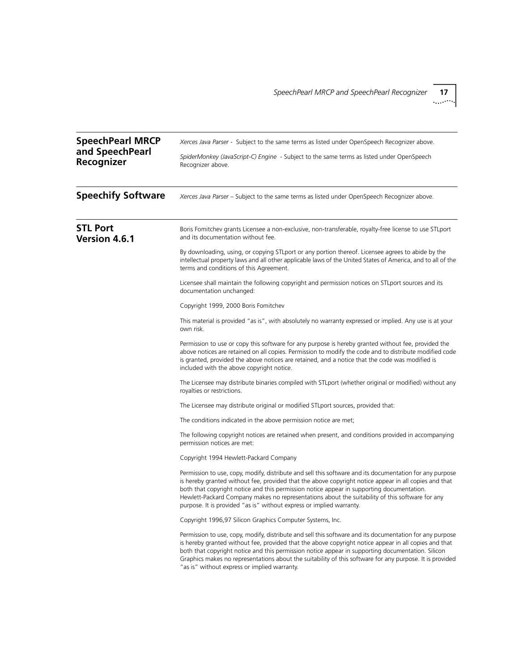| <b>SpeechPearl MRCP</b><br>and SpeechPearl<br>Recognizer | Xerces Java Parser - Subject to the same terms as listed under OpenSpeech Recognizer above.<br>SpiderMonkey (JavaScript-C) Engine - Subject to the same terms as listed under OpenSpeech<br>Recognizer above.                                                                                                                                                                                                                                                                             |
|----------------------------------------------------------|-------------------------------------------------------------------------------------------------------------------------------------------------------------------------------------------------------------------------------------------------------------------------------------------------------------------------------------------------------------------------------------------------------------------------------------------------------------------------------------------|
| <b>Speechify Software</b>                                | Xerces Java Parser – Subject to the same terms as listed under OpenSpeech Recognizer above.                                                                                                                                                                                                                                                                                                                                                                                               |
| <b>STL Port</b><br><b>Version 4.6.1</b>                  | Boris Fomitchev grants Licensee a non-exclusive, non-transferable, royalty-free license to use STLport<br>and its documentation without fee.                                                                                                                                                                                                                                                                                                                                              |
|                                                          | By downloading, using, or copying STLport or any portion thereof. Licensee agrees to abide by the<br>intellectual property laws and all other applicable laws of the United States of America, and to all of the<br>terms and conditions of this Agreement.                                                                                                                                                                                                                               |
|                                                          | Licensee shall maintain the following copyright and permission notices on STLport sources and its<br>documentation unchanged:                                                                                                                                                                                                                                                                                                                                                             |
|                                                          | Copyright 1999, 2000 Boris Fomitchev                                                                                                                                                                                                                                                                                                                                                                                                                                                      |
|                                                          | This material is provided "as is", with absolutely no warranty expressed or implied. Any use is at your<br>own risk.                                                                                                                                                                                                                                                                                                                                                                      |
|                                                          | Permission to use or copy this software for any purpose is hereby granted without fee, provided the<br>above notices are retained on all copies. Permission to modify the code and to distribute modified code<br>is granted, provided the above notices are retained, and a notice that the code was modified is<br>included with the above copyright notice.                                                                                                                            |
|                                                          | The Licensee may distribute binaries compiled with STLport (whether original or modified) without any<br>royalties or restrictions.                                                                                                                                                                                                                                                                                                                                                       |
|                                                          | The Licensee may distribute original or modified STL port sources, provided that:                                                                                                                                                                                                                                                                                                                                                                                                         |
|                                                          | The conditions indicated in the above permission notice are met;                                                                                                                                                                                                                                                                                                                                                                                                                          |
|                                                          | The following copyright notices are retained when present, and conditions provided in accompanying<br>permission notices are met:                                                                                                                                                                                                                                                                                                                                                         |
|                                                          | Copyright 1994 Hewlett-Packard Company                                                                                                                                                                                                                                                                                                                                                                                                                                                    |
|                                                          | Permission to use, copy, modify, distribute and sell this software and its documentation for any purpose<br>is hereby granted without fee, provided that the above copyright notice appear in all copies and that<br>both that copyright notice and this permission notice appear in supporting documentation.<br>Hewlett-Packard Company makes no representations about the suitability of this software for any<br>purpose. It is provided "as is" without express or implied warranty. |
|                                                          | Copyright 1996,97 Silicon Graphics Computer Systems, Inc.                                                                                                                                                                                                                                                                                                                                                                                                                                 |
|                                                          | Permission to use, copy, modify, distribute and sell this software and its documentation for any purpose<br>is hereby granted without fee, provided that the above copyright notice appear in all copies and that<br>both that copyright notice and this permission notice appear in supporting documentation. Silicon<br>Graphics makes no representations about the suitability of this software for any purpose. It is provided<br>"as is" without express or implied warranty.        |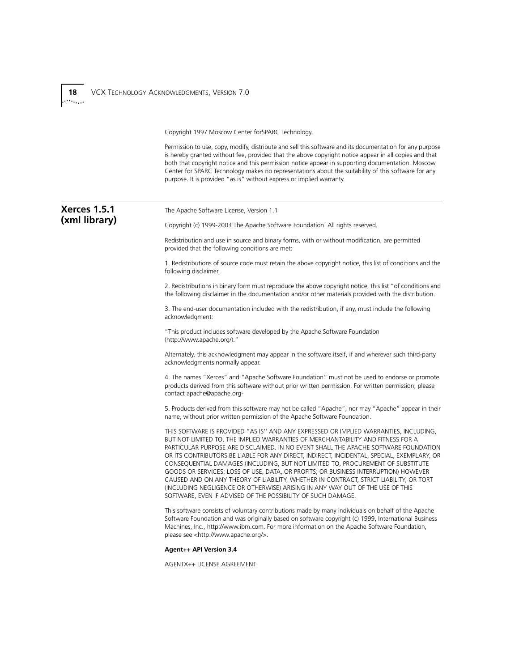Copyright 1997 Moscow Center forSPARC Technology.

Permission to use, copy, modify, distribute and sell this software and its documentation for any purpose is hereby granted without fee, provided that the above copyright notice appear in all copies and that both that copyright notice and this permission notice appear in supporting documentation. Moscow Center for SPARC Technology makes no representations about the suitability of this software for any purpose. It is provided "as is" without express or implied warranty.

| <b>Xerces 1.5.1</b><br>(xml library) | The Apache Software License, Version 1.1                                                                                                                                                                                                                                                                                                                                                                                                                                                                                                                                                                                                                                                                                                                                          |
|--------------------------------------|-----------------------------------------------------------------------------------------------------------------------------------------------------------------------------------------------------------------------------------------------------------------------------------------------------------------------------------------------------------------------------------------------------------------------------------------------------------------------------------------------------------------------------------------------------------------------------------------------------------------------------------------------------------------------------------------------------------------------------------------------------------------------------------|
|                                      | Copyright (c) 1999-2003 The Apache Software Foundation. All rights reserved.                                                                                                                                                                                                                                                                                                                                                                                                                                                                                                                                                                                                                                                                                                      |
|                                      | Redistribution and use in source and binary forms, with or without modification, are permitted<br>provided that the following conditions are met:                                                                                                                                                                                                                                                                                                                                                                                                                                                                                                                                                                                                                                 |
|                                      | 1. Redistributions of source code must retain the above copyright notice, this list of conditions and the<br>following disclaimer.                                                                                                                                                                                                                                                                                                                                                                                                                                                                                                                                                                                                                                                |
|                                      | 2. Redistributions in binary form must reproduce the above copyright notice, this list "of conditions and<br>the following disclaimer in the documentation and/or other materials provided with the distribution.                                                                                                                                                                                                                                                                                                                                                                                                                                                                                                                                                                 |
|                                      | 3. The end-user documentation included with the redistribution, if any, must include the following<br>acknowledgment:                                                                                                                                                                                                                                                                                                                                                                                                                                                                                                                                                                                                                                                             |
|                                      | "This product includes software developed by the Apache Software Foundation<br>(http://www.apache.org/)."                                                                                                                                                                                                                                                                                                                                                                                                                                                                                                                                                                                                                                                                         |
|                                      | Alternately, this acknowledgment may appear in the software itself, if and wherever such third-party<br>acknowledgments normally appear.                                                                                                                                                                                                                                                                                                                                                                                                                                                                                                                                                                                                                                          |
|                                      | 4. The names "Xerces" and "Apache Software Foundation" must not be used to endorse or promote<br>products derived from this software without prior written permission. For written permission, please<br>contact apache@apache.org-                                                                                                                                                                                                                                                                                                                                                                                                                                                                                                                                               |
|                                      | 5. Products derived from this software may not be called "Apache", nor may "Apache" appear in their<br>name, without prior written permission of the Apache Software Foundation.                                                                                                                                                                                                                                                                                                                                                                                                                                                                                                                                                                                                  |
|                                      | THIS SOFTWARE IS PROVIDED "AS IS" AND ANY EXPRESSED OR IMPLIED WARRANTIES, INCLUDING,<br>BUT NOT LIMITED TO, THE IMPLIED WARRANTIES OF MERCHANTABILITY AND FITNESS FOR A<br>PARTICULAR PURPOSE ARE DISCLAIMED. IN NO EVENT SHALL THE APACHE SOFTWARE FOUNDATION<br>OR ITS CONTRIBUTORS BE LIABLE FOR ANY DIRECT, INDIRECT, INCIDENTAL, SPECIAL, EXEMPLARY, OR<br>CONSEQUENTIAL DAMAGES (INCLUDING, BUT NOT LIMITED TO, PROCUREMENT OF SUBSTITUTE<br>GOODS OR SERVICES; LOSS OF USE, DATA, OR PROFITS; OR BUSINESS INTERRUPTION) HOWEVER<br>CAUSED AND ON ANY THEORY OF LIABILITY, WHETHER IN CONTRACT, STRICT LIABILITY, OR TORT<br>(INCLUDING NEGLIGENCE OR OTHERWISE) ARISING IN ANY WAY OUT OF THE USE OF THIS<br>SOFTWARE, EVEN IF ADVISED OF THE POSSIBILITY OF SUCH DAMAGE. |
|                                      | This software consists of voluntary contributions made by many individuals on behalf of the Apache<br>Software Foundation and was originally based on software copyright (c) 1999, International Business<br>Machines, Inc., http://www.ibm.com. For more information on the Apache Software Foundation,<br>please see <http: www.apache.org=""></http:> .                                                                                                                                                                                                                                                                                                                                                                                                                        |
|                                      | Agent++ API Version 3.4                                                                                                                                                                                                                                                                                                                                                                                                                                                                                                                                                                                                                                                                                                                                                           |

AGENTX++ LICENSE AGREEMENT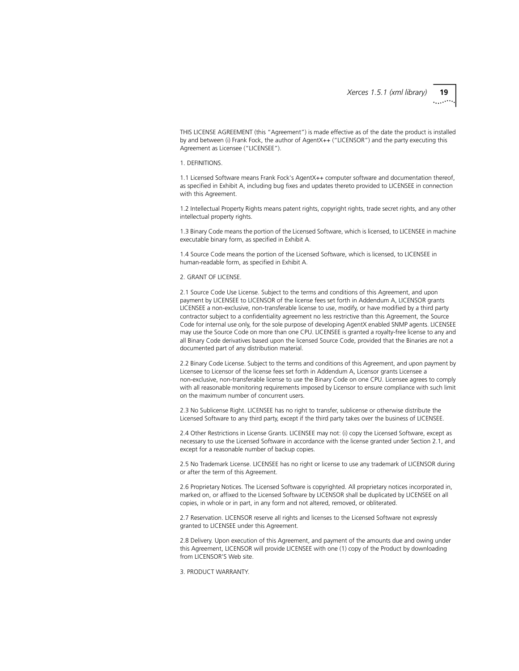THIS LICENSE AGREEMENT (this "Agreement") is made effective as of the date the product is installed by and between (i) Frank Fock, the author of AgentX++ ("LICENSOR") and the party executing this Agreement as Licensee ("LICENSEE").

1. DEFINITIONS.

1.1 Licensed Software means Frank Fock's AgentX++ computer software and documentation thereof, as specified in Exhibit A, including bug fixes and updates thereto provided to LICENSEE in connection with this Agreement.

1.2 Intellectual Property Rights means patent rights, copyright rights, trade secret rights, and any other intellectual property rights.

1.3 Binary Code means the portion of the Licensed Software, which is licensed, to LICENSEE in machine executable binary form, as specified in Exhibit A.

1.4 Source Code means the portion of the Licensed Software, which is licensed, to LICENSEE in human-readable form, as specified in Exhibit A.

### 2. GRANT OF LICENSE.

2.1 Source Code Use License. Subject to the terms and conditions of this Agreement, and upon payment by LICENSEE to LICENSOR of the license fees set forth in Addendum A, LICENSOR grants LICENSEE a non-exclusive, non-transferable license to use, modify, or have modified by a third party contractor subject to a confidentiality agreement no less restrictive than this Agreement, the Source Code for internal use only, for the sole purpose of developing AgentX enabled SNMP agents. LICENSEE may use the Source Code on more than one CPU. LICENSEE is granted a royalty-free license to any and all Binary Code derivatives based upon the licensed Source Code, provided that the Binaries are not a documented part of any distribution material.

2.2 Binary Code License. Subject to the terms and conditions of this Agreement, and upon payment by Licensee to Licensor of the license fees set forth in Addendum A, Licensor grants Licensee a non-exclusive, non-transferable license to use the Binary Code on one CPU. Licensee agrees to comply with all reasonable monitoring requirements imposed by Licensor to ensure compliance with such limit on the maximum number of concurrent users.

2.3 No Sublicense Right. LICENSEE has no right to transfer, sublicense or otherwise distribute the Licensed Software to any third party, except if the third party takes over the business of LICENSEE.

2.4 Other Restrictions in License Grants. LICENSEE may not: (i) copy the Licensed Software, except as necessary to use the Licensed Software in accordance with the license granted under Section 2.1, and except for a reasonable number of backup copies.

2.5 No Trademark License. LICENSEE has no right or license to use any trademark of LICENSOR during or after the term of this Agreement.

2.6 Proprietary Notices. The Licensed Software is copyrighted. All proprietary notices incorporated in, marked on, or affixed to the Licensed Software by LICENSOR shall be duplicated by LICENSEE on all copies, in whole or in part, in any form and not altered, removed, or obliterated.

2.7 Reservation. LICENSOR reserve all rights and licenses to the Licensed Software not expressly granted to LICENSEE under this Agreement.

2.8 Delivery. Upon execution of this Agreement, and payment of the amounts due and owing under this Agreement, LICENSOR will provide LICENSEE with one (1) copy of the Product by downloading from LICENSOR'S Web site.

3. PRODUCT WARRANTY.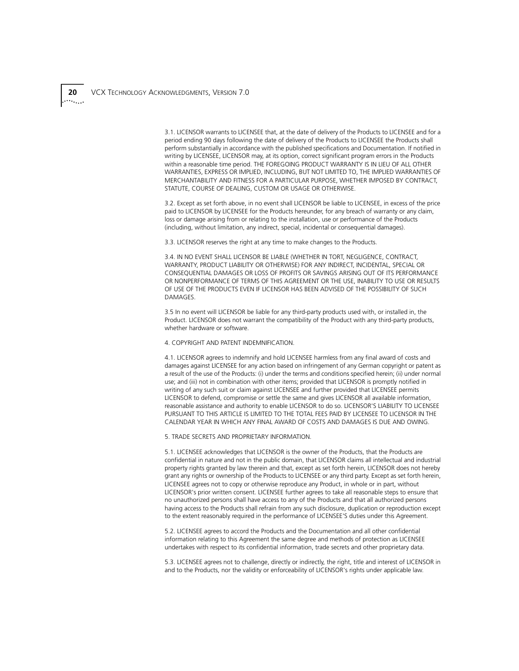3.1. LICENSOR warrants to LICENSEE that, at the date of delivery of the Products to LICENSEE and for a period ending 90 days following the date of delivery of the Products to LICENSEE the Products shall perform substantially in accordance with the published specifications and Documentation. If notified in writing by LICENSEE, LICENSOR may, at its option, correct significant program errors in the Products within a reasonable time period. THE FOREGOING PRODUCT WARRANTY IS IN LIEU OF ALL OTHER WARRANTIES, EXPRESS OR IMPLIED, INCLUDING, BUT NOT LIMITED TO, THE IMPLIED WARRANTIES OF MERCHANTABILITY AND FITNESS FOR A PARTICULAR PURPOSE, WHETHER IMPOSED BY CONTRACT, STATUTE, COURSE OF DEALING, CUSTOM OR USAGE OR OTHERWISE.

3.2. Except as set forth above, in no event shall LICENSOR be liable to LICENSEE, in excess of the price paid to LICENSOR by LICENSEE for the Products hereunder, for any breach of warranty or any claim, loss or damage arising from or relating to the installation, use or performance of the Products (including, without limitation, any indirect, special, incidental or consequential damages).

3.3. LICENSOR reserves the right at any time to make changes to the Products.

3.4. IN NO EVENT SHALL LICENSOR BE LIABLE (WHETHER IN TORT, NEGLIGENCE, CONTRACT, WARRANTY, PRODUCT LIABILITY OR OTHERWISE) FOR ANY INDIRECT, INCIDENTAL, SPECIAL OR CONSEQUENTIAL DAMAGES OR LOSS OF PROFITS OR SAVINGS ARISING OUT OF ITS PERFORMANCE OR NONPERFORMANCE OF TERMS OF THIS AGREEMENT OR THE USE, INABILITY TO USE OR RESULTS OF USE OF THE PRODUCTS EVEN IF LICENSOR HAS BEEN ADVISED OF THE POSSIBILITY OF SUCH DAMAGES.

3.5 In no event will LICENSOR be liable for any third-party products used with, or installed in, the Product. LICENSOR does not warrant the compatibility of the Product with any third-party products, whether hardware or software.

4. COPYRIGHT AND PATENT INDEMNIFICATION.

4.1. LICENSOR agrees to indemnify and hold LICENSEE harmless from any final award of costs and damages against LICENSEE for any action based on infringement of any German copyright or patent as a result of the use of the Products: (i) under the terms and conditions specified herein; (ii) under normal use; and (iii) not in combination with other items; provided that LICENSOR is promptly notified in writing of any such suit or claim against LICENSEE and further provided that LICENSEE permits LICENSOR to defend, compromise or settle the same and gives LICENSOR all available information, reasonable assistance and authority to enable LICENSOR to do so. LICENSOR'S LIABILITY TO LICENSEE PURSUANT TO THIS ARTICLE IS LIMITED TO THE TOTAL FEES PAID BY LICENSEE TO LICENSOR IN THE CALENDAR YEAR IN WHICH ANY FINAL AWARD OF COSTS AND DAMAGES IS DUE AND OWING.

5. TRADE SECRETS AND PROPRIETARY INFORMATION.

5.1. LICENSEE acknowledges that LICENSOR is the owner of the Products, that the Products are confidential in nature and not in the public domain, that LICENSOR claims all intellectual and industrial property rights granted by law therein and that, except as set forth herein, LICENSOR does not hereby grant any rights or ownership of the Products to LICENSEE or any third party. Except as set forth herein, LICENSEE agrees not to copy or otherwise reproduce any Product, in whole or in part, without LICENSOR's prior written consent. LICENSEE further agrees to take all reasonable steps to ensure that no unauthorized persons shall have access to any of the Products and that all authorized persons having access to the Products shall refrain from any such disclosure, duplication or reproduction except to the extent reasonably required in the performance of LICENSEE'S duties under this Agreement.

5.2. LICENSEE agrees to accord the Products and the Documentation and all other confidential information relating to this Agreement the same degree and methods of protection as LICENSEE undertakes with respect to its confidential information, trade secrets and other proprietary data.

5.3. LICENSEE agrees not to challenge, directly or indirectly, the right, title and interest of LICENSOR in and to the Products, nor the validity or enforceability of LICENSOR's rights under applicable law.

. . . . . . . . .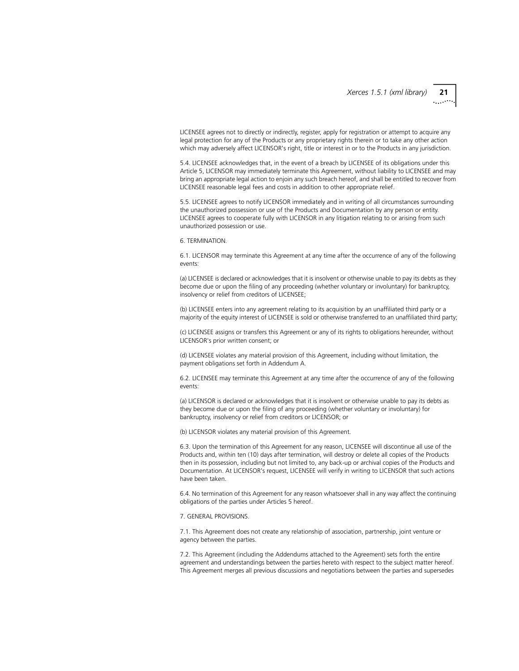LICENSEE agrees not to directly or indirectly, register, apply for registration or attempt to acquire any legal protection for any of the Products or any proprietary rights therein or to take any other action which may adversely affect LICENSOR's right, title or interest in or to the Products in any jurisdiction.

5.4. LICENSEE acknowledges that, in the event of a breach by LICENSEE of its obligations under this Article 5, LICENSOR may immediately terminate this Agreement, without liability to LICENSEE and may bring an appropriate legal action to enjoin any such breach hereof, and shall be entitled to recover from LICENSEE reasonable legal fees and costs in addition to other appropriate relief.

5.5. LICENSEE agrees to notify LICENSOR immediately and in writing of all circumstances surrounding the unauthorized possession or use of the Products and Documentation by any person or entity. LICENSEE agrees to cooperate fully with LICENSOR in any litigation relating to or arising from such unauthorized possession or use.

6. TERMINATION.

6.1. LICENSOR may terminate this Agreement at any time after the occurrence of any of the following events:

(a) LICENSEE is declared or acknowledges that it is insolvent or otherwise unable to pay its debts as they become due or upon the filing of any proceeding (whether voluntary or involuntary) for bankruptcy, insolvency or relief from creditors of LICENSEE;

(b) LICENSEE enters into any agreement relating to its acquisition by an unaffiliated third party or a majority of the equity interest of LICENSEE is sold or otherwise transferred to an unaffiliated third party;

(c) LICENSEE assigns or transfers this Agreement or any of its rights to obligations hereunder, without LICENSOR's prior written consent; or

(d) LICENSEE violates any material provision of this Agreement, including without limitation, the payment obligations set forth in Addendum A.

6.2. LICENSEE may terminate this Agreement at any time after the occurrence of any of the following events:

(a) LICENSOR is declared or acknowledges that it is insolvent or otherwise unable to pay its debts as they become due or upon the filing of any proceeding (whether voluntary or involuntary) for bankruptcy, insolvency or relief from creditors or LICENSOR; or

(b) LICENSOR violates any material provision of this Agreement.

6.3. Upon the termination of this Agreement for any reason, LICENSEE will discontinue all use of the Products and, within ten (10) days after termination, will destroy or delete all copies of the Products then in its possession, including but not limited to, any back-up or archival copies of the Products and Documentation. At LICENSOR's request, LICENSEE will verify in writing to LICENSOR that such actions have been taken.

6.4. No termination of this Agreement for any reason whatsoever shall in any way affect the continuing obligations of the parties under Articles 5 hereof.

7. GENERAL PROVISIONS.

7.1. This Agreement does not create any relationship of association, partnership, joint venture or agency between the parties.

7.2. This Agreement (including the Addendums attached to the Agreement) sets forth the entire agreement and understandings between the parties hereto with respect to the subject matter hereof. This Agreement merges all previous discussions and negotiations between the parties and supersedes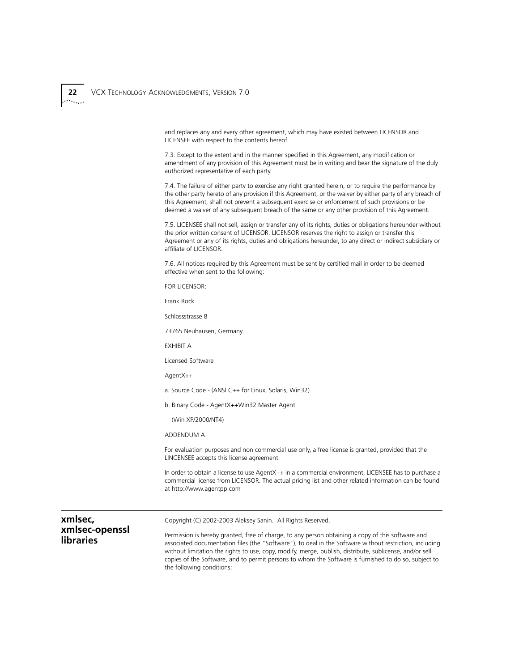

7.3. Except to the extent and in the manner specified in this Agreement, any modification or amendment of any provision of this Agreement must be in writing and bear the signature of the duly authorized representative of each party.

7.4. The failure of either party to exercise any right granted herein, or to require the performance by the other party hereto of any provision if this Agreement, or the waiver by either party of any breach of this Agreement, shall not prevent a subsequent exercise or enforcement of such provisions or be deemed a waiver of any subsequent breach of the same or any other provision of this Agreement.

7.5. LICENSEE shall not sell, assign or transfer any of its rights, duties or obligations hereunder without the prior written consent of LICENSOR. LICENSOR reserves the right to assign or transfer this Agreement or any of its rights, duties and obligations hereunder, to any direct or indirect subsidiary or affiliate of LICENSOR.

7.6. All notices required by this Agreement must be sent by certified mail in order to be deemed effective when sent to the following:

FOR LICENSOR:

Frank Rock

Schlossstrasse 8

73765 Neuhausen, Germany

EXHIBIT A

Licensed Software

AgentX++

a. Source Code - (ANSI C++ for Linux, Solaris, Win32)

b. Binary Code - AgentX++Win32 Master Agent

(Win XP/2000/NT4)

ADDENDUM A

For evaluation purposes and non commercial use only, a free license is granted, provided that the LINCENSEE accepts this license agreement.

In order to obtain a license to use AgentX++ in a commercial environment, LICENSEE has to purchase a commercial license from LICENSOR. The actual pricing list and other related information can be found at http://www.agentpp.com

### **xmlsec, xmlsec-openssl libraries**

Copyright (C) 2002-2003 Aleksey Sanin. All Rights Reserved.

Permission is hereby granted, free of charge, to any person obtaining a copy of this software and associated documentation files (the "Software"), to deal in the Software without restriction, including without limitation the rights to use, copy, modify, merge, publish, distribute, sublicense, and/or sell copies of the Software, and to permit persons to whom the Software is furnished to do so, subject to the following conditions:

 $\cdots$  . . . .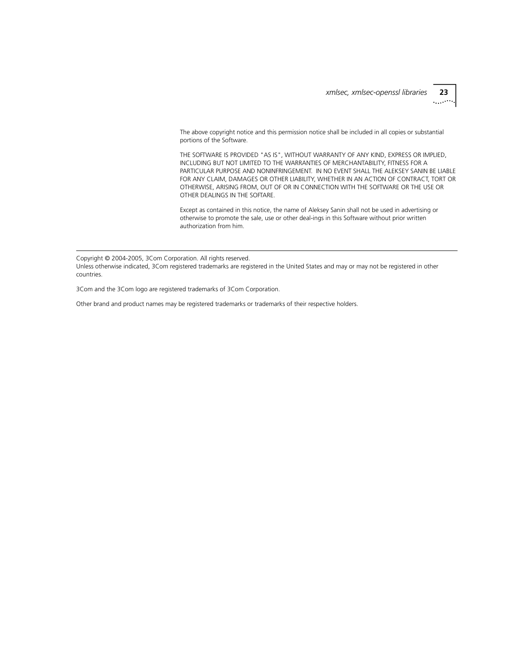The above copyright notice and this permission notice shall be included in all copies or substantial portions of the Software.

THE SOFTWARE IS PROVIDED "AS IS", WITHOUT WARRANTY OF ANY KIND, EXPRESS OR IMPLIED, INCLUDING BUT NOT LIMITED TO THE WARRANTIES OF MERCHANTABILITY, FITNESS FOR A PARTICULAR PURPOSE AND NONINFRINGEMENT. IN NO EVENT SHALL THE ALEKSEY SANIN BE LIABLE FOR ANY CLAIM, DAMAGES OR OTHER LIABILITY, WHETHER IN AN ACTION OF CONTRACT, TORT OR OTHERWISE, ARISING FROM, OUT OF OR IN CONNECTION WITH THE SOFTWARE OR THE USE OR OTHER DEALINGS IN THE SOFTARE.

Except as contained in this notice, the name of Aleksey Sanin shall not be used in advertising or otherwise to promote the sale, use or other deal-ings in this Software without prior written authorization from him.

Copyright © 2004-2005, 3Com Corporation. All rights reserved.

Unless otherwise indicated, 3Com registered trademarks are registered in the United States and may or may not be registered in other countries.

3Com and the 3Com logo are registered trademarks of 3Com Corporation.

Other brand and product names may be registered trademarks or trademarks of their respective holders.